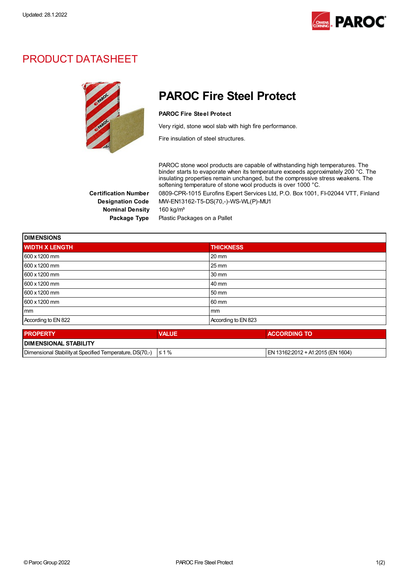

### PRODUCT DATASHEET



## PAROC Fire Steel Protect

#### PAROC Fire Steel Protect

Very rigid, stone wool slab with high fire performance.

Fire insulation of steel structures.

PAROC stone wool products are capable of withstanding high temperatures. The binder starts to evaporate when its temperature exceeds approximately 200 °C. The insulating properties remain unchanged, but the compressive stress weakens. The softening temperature of stone wool products is over 1000 °C.

Certification Number 0809-CPR-1015 Eurofins Expert Services Ltd, P.O. Box 1001, FI-02044 VTT, Finland Designation Code MW-EN13162-T5-DS(70,-)-WS-WL(P)-MU1

Nominal Density 160 kg/m<sup>3</sup>

Package Type Plastic Packages on a Pallet

| <b>DIMENSIONS</b>     |              |                     |  |
|-----------------------|--------------|---------------------|--|
| <b>WIDTH X LENGTH</b> |              | <b>THICKNESS</b>    |  |
| 600 x 1200 mm         |              | $20 \, \text{mm}$   |  |
| 600 x 1200 mm         |              | $25 \,\mathrm{mm}$  |  |
| 600 x 1200 mm         |              | 30 mm               |  |
| 600 x 1200 mm         |              | 40 mm               |  |
| 600 x 1200 mm         |              | 50 mm               |  |
| 600 x 1200 mm         |              | 60 mm               |  |
| mm                    |              | mm                  |  |
| According to EN 822   |              | According to EN 823 |  |
| <b>PROPERTY</b>       | <b>VALUE</b> | <b>ACCORDING TO</b> |  |
| $\overline{a}$        |              |                     |  |

| <b>I DIMENSIONAL STABILITY</b>                           |             |                                         |  |  |  |  |
|----------------------------------------------------------|-------------|-----------------------------------------|--|--|--|--|
| Dimensional Stability at Specified Temperature, DS(70.-) | ' %<br>l≤ 1 | 13162:2012 + A1:2015 (EN 1604)<br>⊹EN 1 |  |  |  |  |